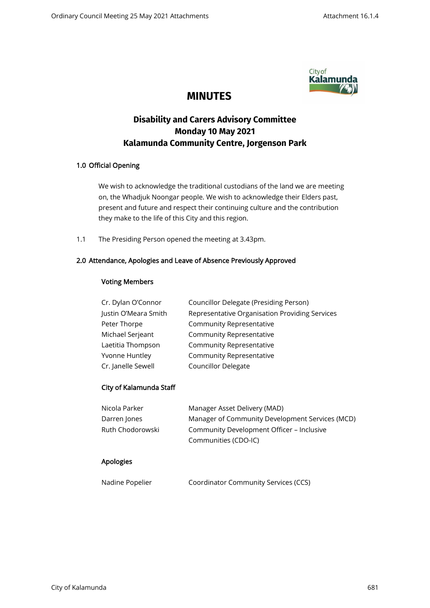

## **MINUTES**

# **Disability and Carers Advisory Committee Monday 10 May 2021 Kalamunda Community Centre, Jorgenson Park**

## 1.0 Official Opening

We wish to acknowledge the traditional custodians of the land we are meeting on, the Whadjuk Noongar people. We wish to acknowledge their Elders past, present and future and respect their continuing culture and the contribution they make to the life of this City and this region.

1.1 The Presiding Person opened the meeting at 3.43pm.

## 2.0 Attendance, Apologies and Leave of Absence Previously Approved

## Voting Members

| Cr. Dylan O'Connor   | Councillor Delegate (Presiding Person)         |
|----------------------|------------------------------------------------|
| Justin O'Meara Smith | Representative Organisation Providing Services |
| Peter Thorpe         | Community Representative                       |
| Michael Serjeant     | Community Representative                       |
| Laetitia Thompson    | Community Representative                       |
| Yvonne Huntley       | Community Representative                       |
| Cr. Janelle Sewell   | <b>Councillor Delegate</b>                     |

## City of Kalamunda Staff

| Nicola Parker    | Manager Asset Delivery (MAD)                    |
|------------------|-------------------------------------------------|
| Darren Jones     | Manager of Community Development Services (MCD) |
| Ruth Chodorowski | Community Development Officer - Inclusive       |
|                  | Communities (CDO-IC)                            |

## Apologies

| Nadine Popelier | <b>Coordinator Community Services (CCS)</b> |
|-----------------|---------------------------------------------|
|                 |                                             |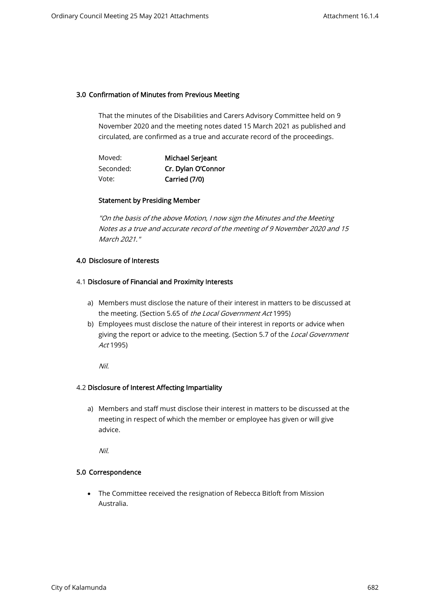## 3.0 Confirmation of Minutes from Previous Meeting

That the minutes of the Disabilities and Carers Advisory Committee held on 9 November 2020 and the meeting notes dated 15 March 2021 as published and circulated, are confirmed as a true and accurate record of the proceedings.

| Moved:    | Michael Serjeant   |
|-----------|--------------------|
| Seconded: | Cr. Dylan O'Connor |
| Vote:     | Carried (7/0)      |

## Statement by Presiding Member

"On the basis of the above Motion, I now sign the Minutes and the Meeting Notes as a true and accurate record of the meeting of 9 November 2020 and 15 March 2021."

## 4.0 Disclosure of Interests

## 4.1 Disclosure of Financial and Proximity Interests

- a) Members must disclose the nature of their interest in matters to be discussed at the meeting. (Section 5.65 of the Local Government Act 1995)
- b) Employees must disclose the nature of their interest in reports or advice when giving the report or advice to the meeting. (Section 5.7 of the Local Government Act 1995)

Nil.

#### 4.2 Disclosure of Interest Affecting Impartiality

a) Members and staff must disclose their interest in matters to be discussed at the meeting in respect of which the member or employee has given or will give advice.

Nil.

#### 5.0 Correspondence

• The Committee received the resignation of Rebecca Bitloft from Mission Australia.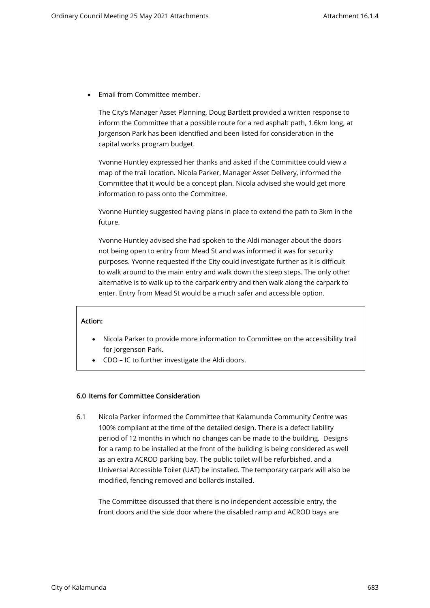• Email from Committee member.

The City's Manager Asset Planning, Doug Bartlett provided a written response to inform the Committee that a possible route for a red asphalt path, 1.6km long, at Jorgenson Park has been identified and been listed for consideration in the capital works program budget.

Yvonne Huntley expressed her thanks and asked if the Committee could view a map of the trail location. Nicola Parker, Manager Asset Delivery, informed the Committee that it would be a concept plan. Nicola advised she would get more information to pass onto the Committee.

Yvonne Huntley suggested having plans in place to extend the path to 3km in the future.

Yvonne Huntley advised she had spoken to the Aldi manager about the doors not being open to entry from Mead St and was informed it was for security purposes. Yvonne requested if the City could investigate further as it is difficult to walk around to the main entry and walk down the steep steps. The only other alternative is to walk up to the carpark entry and then walk along the carpark to enter. Entry from Mead St would be a much safer and accessible option.

## Action:

- Nicola Parker to provide more information to Committee on the accessibility trail for Jorgenson Park.
- CDO IC to further investigate the Aldi doors.

#### 6.0 Items for Committee Consideration

6.1 Nicola Parker informed the Committee that Kalamunda Community Centre was 100% compliant at the time of the detailed design. There is a defect liability period of 12 months in which no changes can be made to the building. Designs for a ramp to be installed at the front of the building is being considered as well as an extra ACROD parking bay. The public toilet will be refurbished, and a Universal Accessible Toilet (UAT) be installed. The temporary carpark will also be modified, fencing removed and bollards installed.

The Committee discussed that there is no independent accessible entry, the front doors and the side door where the disabled ramp and ACROD bays are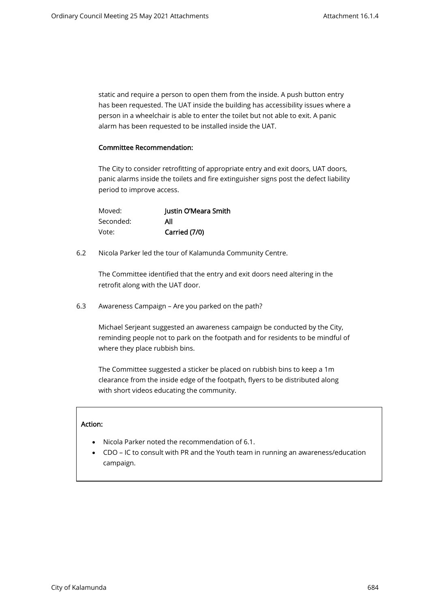static and require a person to open them from the inside. A push button entry has been requested. The UAT inside the building has accessibility issues where a person in a wheelchair is able to enter the toilet but not able to exit. A panic alarm has been requested to be installed inside the UAT.

#### Committee Recommendation:

The City to consider retrofitting of appropriate entry and exit doors, UAT doors, panic alarms inside the toilets and fire extinguisher signs post the defect liability period to improve access.

| Moved:    | Justin O'Meara Smith |
|-----------|----------------------|
| Seconded: | All                  |
| Vote:     | Carried (7/0)        |

6.2 Nicola Parker led the tour of Kalamunda Community Centre.

The Committee identified that the entry and exit doors need altering in the retrofit along with the UAT door.

6.3 Awareness Campaign – Are you parked on the path?

Michael Serjeant suggested an awareness campaign be conducted by the City, reminding people not to park on the footpath and for residents to be mindful of where they place rubbish bins.

The Committee suggested a sticker be placed on rubbish bins to keep a 1m clearance from the inside edge of the footpath, flyers to be distributed along with short videos educating the community.

#### Action:

- Nicola Parker noted the recommendation of 6.1.
- CDO IC to consult with PR and the Youth team in running an awareness/education campaign.